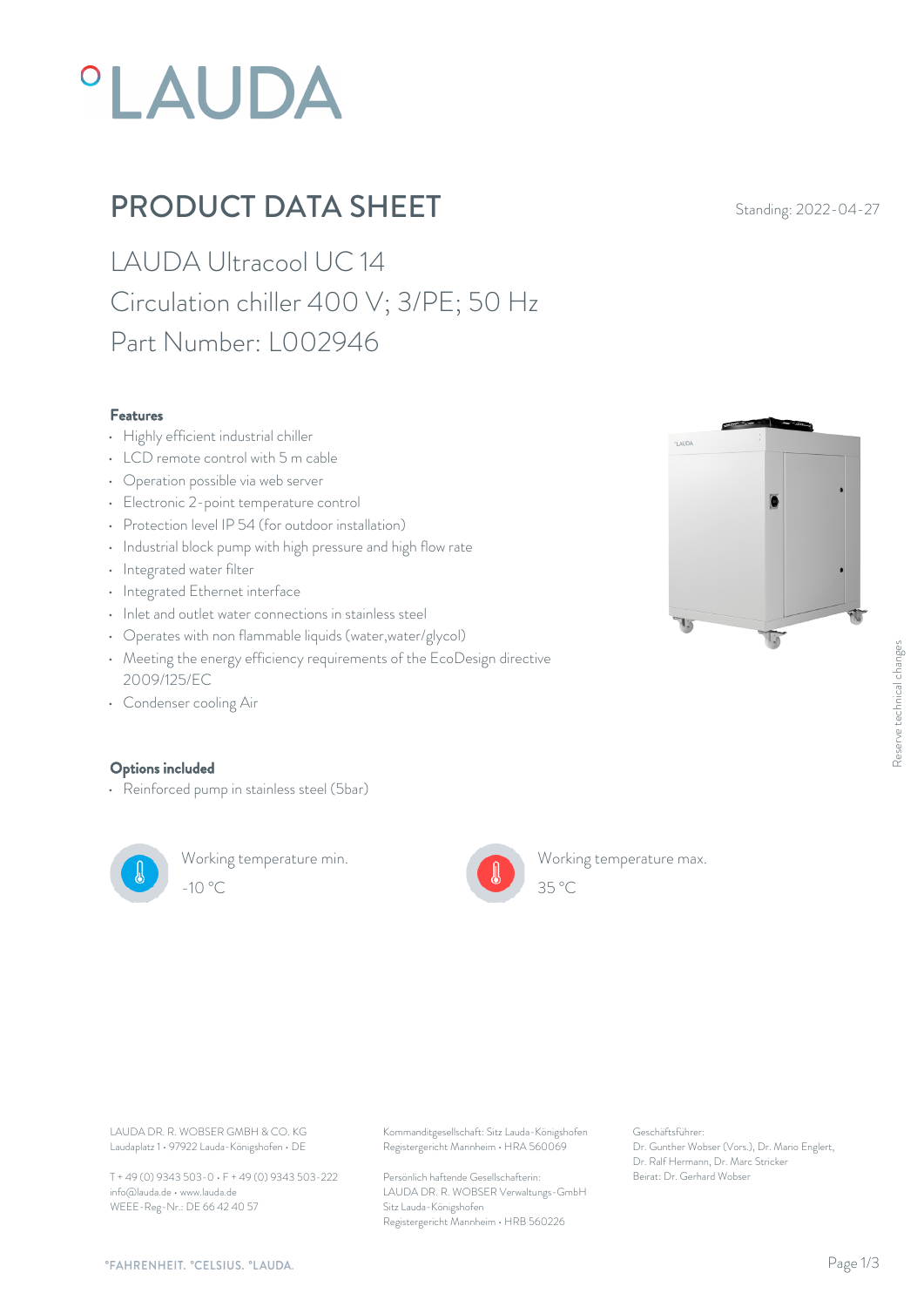# *OLAUDA*

## PRODUCT DATA SHEET Standing: 2022-04-27

LAUDA Ultracool UC 14 Circulation chiller 400 V; 3/PE; 50 Hz Part Number: L002946

#### Features

- Highly efficient industrial chiller
- LCD remote control with 5 m cable
- Operation possible via web server
- Electronic 2-point temperature control
- Protection level IP 54 (for outdoor installation)
- Industrial block pump with high pressure and high flow rate
- Integrated water filter
- Integrated Ethernet interface
- Inlet and outlet water connections in stainless steel
- Operates with non flammable liquids (water,water/glycol)
- Meeting the energy efficiency requirements of the EcoDesign directive 2009/125/EC
- Condenser cooling Air

#### Options included

• Reinforced pump in stainless steel (5bar)



Working temperature min. -10 °C 35 °C



Working temperature max.



Laudaplatz 1 • 97922 Lauda-Königshofen • DE T + 49 (0) 9343 503-0 • F + 49 (0) 9343 503-222

info@lauda.de • www.lauda.de WEEE-Reg-Nr.: DE 66 42 40 57

LAUDA DR. R. WOBSER GMBH & CO. KG Kommanditgesellschaft: Sitz Lauda-Königshofen Geschäftsführer: Registergericht Mannheim • HRA 560069

> Persönlich haftende Gesellschafterin: Beirat: Dr. Gerhard Wobse LAUDA DR. R. WOBSER Verwaltungs-GmbH Sitz Lauda-Königshofen Registergericht Mannheim • HRB 560226

Geschäftsführer: Dr. Gunther Wobser (Vors.), Dr. Mario Englert, Dr. Ralf Hermann, Dr. Marc Stricker Beschäftsführer:<br>Beischäftsführer:<br>Dr. Gunther Wobser (Vors.), Dr. Mario Englert,<br>Dr. Ralf Hermann, Dr. Marc Stricker<br>Beirat: Dr. Gerhard Wobser

 $35 \degree C$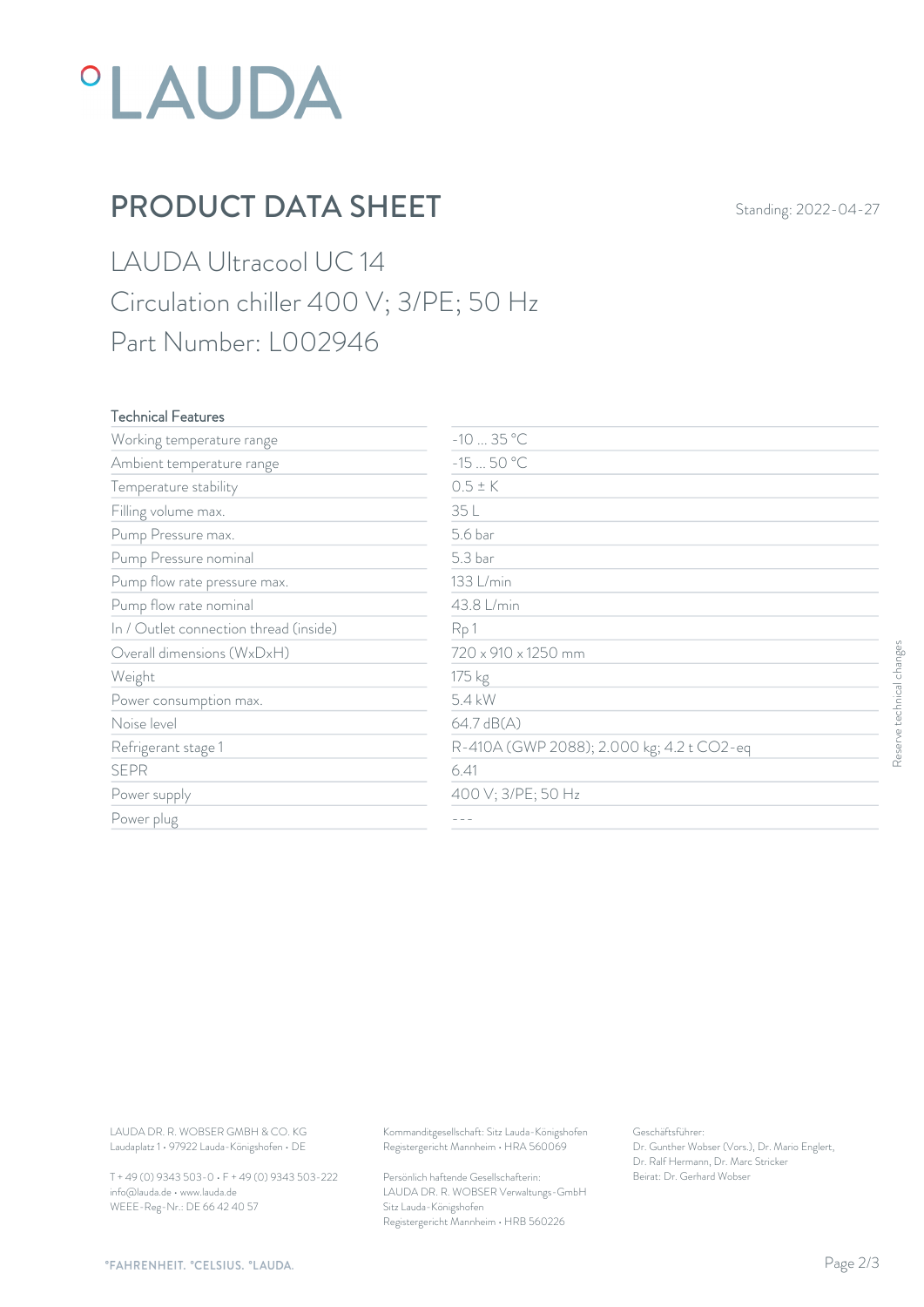

## PRODUCT DATA SHEET Standing: 2022-04-27

LAUDA Ultracool UC 14 Circulation chiller 400 V; 3/PE; 50 Hz Part Number: L002946

### Technical Features

| Working temperature range                                                        | $-1035 °C$                                                                             |                                                                                                           |                           |
|----------------------------------------------------------------------------------|----------------------------------------------------------------------------------------|-----------------------------------------------------------------------------------------------------------|---------------------------|
| Ambient temperature range                                                        | $-1550 °C$                                                                             |                                                                                                           |                           |
| Temperature stability                                                            | $0.5 \pm K$                                                                            |                                                                                                           |                           |
| Filling volume max.                                                              | 35 L                                                                                   |                                                                                                           |                           |
| Pump Pressure max.                                                               | 5.6 bar                                                                                |                                                                                                           |                           |
| Pump Pressure nominal                                                            | 5.3 bar                                                                                |                                                                                                           |                           |
| Pump flow rate pressure max.                                                     | 133 L/min                                                                              |                                                                                                           |                           |
| Pump flow rate nominal                                                           | 43.8 L/min                                                                             |                                                                                                           |                           |
| In / Outlet connection thread (inside)                                           | Rp1                                                                                    |                                                                                                           |                           |
| Overall dimensions (WxDxH)                                                       | 720 x 910 x 1250 mm                                                                    |                                                                                                           |                           |
| Weight                                                                           | 175 kg                                                                                 |                                                                                                           |                           |
| Power consumption max.                                                           | 5.4 kW                                                                                 |                                                                                                           |                           |
| Noise level                                                                      | 64.7 dB(A)                                                                             |                                                                                                           |                           |
| Refrigerant stage 1                                                              | R-410A (GWP 2088); 2.000 kg; 4.2 t CO2-eq                                              |                                                                                                           | Reserve technical changes |
| <b>SEPR</b>                                                                      | 6.41                                                                                   |                                                                                                           |                           |
| Power supply                                                                     | 400 V; 3/PE; 50 Hz                                                                     |                                                                                                           |                           |
| Power plug                                                                       | $\qquad \qquad -$                                                                      |                                                                                                           |                           |
|                                                                                  |                                                                                        |                                                                                                           |                           |
| LAUDA DR. R. WOBSER GMBH & CO. KG<br>Laudaplatz 1 · 97922 Lauda-Königshofen · DE | Kommanditgesellschaft: Sitz Lauda-Königshofen<br>Registergericht Mannheim · HRA 560069 | Geschäftsführer:<br>Dr. Gunther Wobser (Vors.), Dr. Mario Englert,<br>Dr. Ralf Hermann, Dr. Marc Stricker |                           |
| T + 49 (0) 9343 503-0 · F + 49 (0) 9343 503-222                                  | Persönlich haftende Gesellschafterin:                                                  | Beirat: Dr. Gerhard Wobser                                                                                |                           |

T + 49 (0) 9343 503-0 • F + 49 (0) 9343 503-222 info@lauda.de • www.lauda.de WEEE-Reg-Nr.: DE 66 42 40 57

> Persönlich haftende Gesellschafterin: Beirat: Dr. Gerhard Wobser LAUDA DR. R. WOBSER Verwaltungs-GmbH Sitz Lauda-Königshofen Registergericht Mannheim • HRB 560226